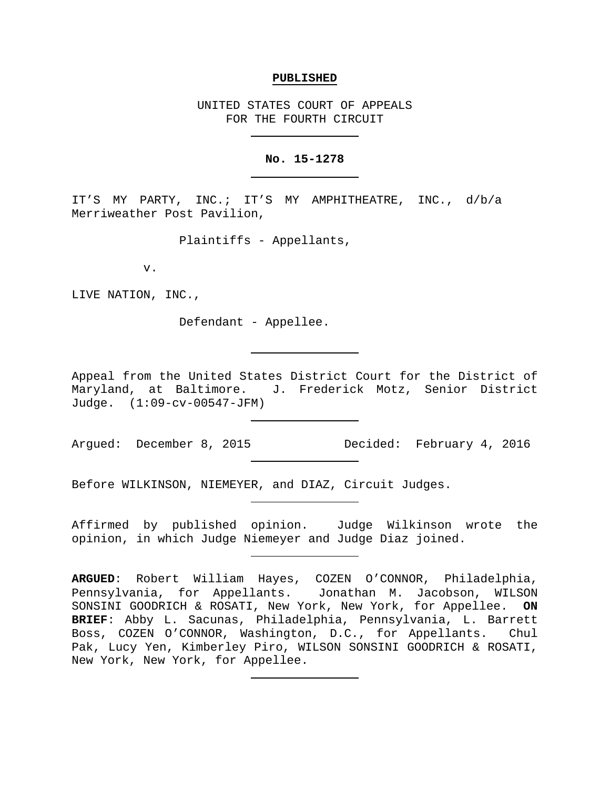#### **PUBLISHED**

UNITED STATES COURT OF APPEALS FOR THE FOURTH CIRCUIT

#### **No. 15-1278**

IT'S MY PARTY, INC.; IT'S MY AMPHITHEATRE, INC., d/b/a Merriweather Post Pavilion,

Plaintiffs - Appellants,

v.

LIVE NATION, INC.,

Defendant - Appellee.

Appeal from the United States District Court for the District of Maryland, at Baltimore. J. Frederick Motz, Senior District Judge. (1:09-cv-00547-JFM)

Argued: December 8, 2015 Decided: February 4, 2016

Before WILKINSON, NIEMEYER, and DIAZ, Circuit Judges.

Affirmed by published opinion. Judge Wilkinson wrote the opinion, in which Judge Niemeyer and Judge Diaz joined.

**ARGUED**: Robert William Hayes, COZEN O'CONNOR, Philadelphia, Pennsylvania, for Appellants. Jonathan M. Jacobson, WILSON SONSINI GOODRICH & ROSATI, New York, New York, for Appellee. **ON BRIEF**: Abby L. Sacunas, Philadelphia, Pennsylvania, L. Barrett Boss, COZEN O'CONNOR, Washington, D.C., for Appellants. Chul Pak, Lucy Yen, Kimberley Piro, WILSON SONSINI GOODRICH & ROSATI, New York, New York, for Appellee.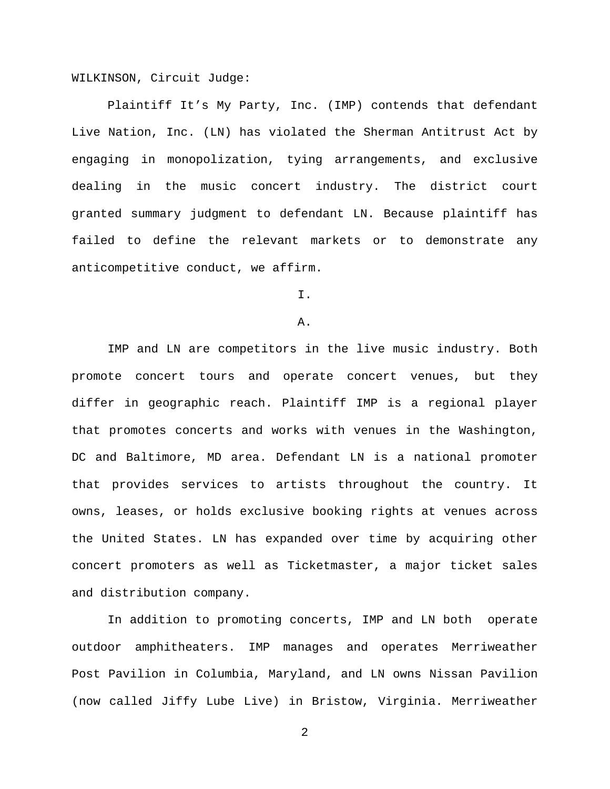WILKINSON, Circuit Judge:

Plaintiff It's My Party, Inc. (IMP) contends that defendant Live Nation, Inc. (LN) has violated the Sherman Antitrust Act by engaging in monopolization, tying arrangements, and exclusive dealing in the music concert industry. The district court granted summary judgment to defendant LN. Because plaintiff has failed to define the relevant markets or to demonstrate any anticompetitive conduct, we affirm.

# I.

### A.

IMP and LN are competitors in the live music industry. Both promote concert tours and operate concert venues, but they differ in geographic reach. Plaintiff IMP is a regional player that promotes concerts and works with venues in the Washington, DC and Baltimore, MD area. Defendant LN is a national promoter that provides services to artists throughout the country. It owns, leases, or holds exclusive booking rights at venues across the United States. LN has expanded over time by acquiring other concert promoters as well as Ticketmaster, a major ticket sales and distribution company.

In addition to promoting concerts, IMP and LN both operate outdoor amphitheaters. IMP manages and operates Merriweather Post Pavilion in Columbia, Maryland, and LN owns Nissan Pavilion (now called Jiffy Lube Live) in Bristow, Virginia. Merriweather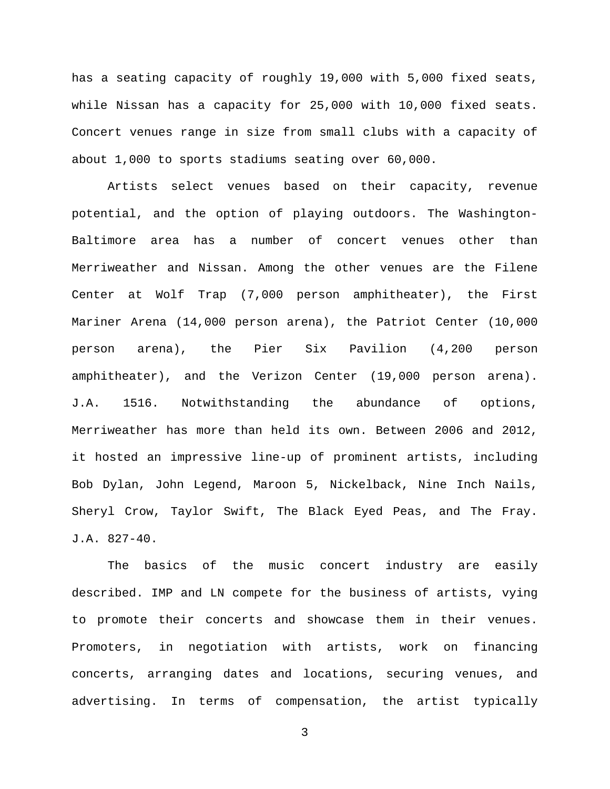has a seating capacity of roughly 19,000 with 5,000 fixed seats, while Nissan has a capacity for 25,000 with 10,000 fixed seats. Concert venues range in size from small clubs with a capacity of about 1,000 to sports stadiums seating over 60,000.

Artists select venues based on their capacity, revenue potential, and the option of playing outdoors. The Washington-Baltimore area has a number of concert venues other than Merriweather and Nissan. Among the other venues are the Filene Center at Wolf Trap (7,000 person amphitheater), the First Mariner Arena (14,000 person arena), the Patriot Center (10,000 person arena), the Pier Six Pavilion (4,200 person amphitheater), and the Verizon Center (19,000 person arena). J.A. 1516. Notwithstanding the abundance of options, Merriweather has more than held its own. Between 2006 and 2012, it hosted an impressive line-up of prominent artists, including Bob Dylan, John Legend, Maroon 5, Nickelback, Nine Inch Nails, Sheryl Crow, Taylor Swift, The Black Eyed Peas, and The Fray. J.A. 827-40.

The basics of the music concert industry are easily described. IMP and LN compete for the business of artists, vying to promote their concerts and showcase them in their venues. Promoters, in negotiation with artists, work on financing concerts, arranging dates and locations, securing venues, and advertising. In terms of compensation, the artist typically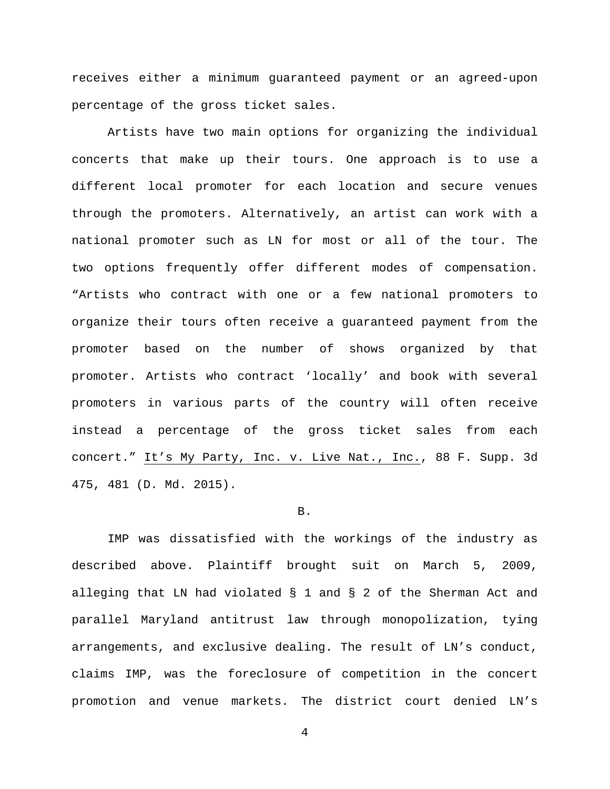receives either a minimum guaranteed payment or an agreed-upon percentage of the gross ticket sales.

Artists have two main options for organizing the individual concerts that make up their tours. One approach is to use a different local promoter for each location and secure venues through the promoters. Alternatively, an artist can work with a national promoter such as LN for most or all of the tour. The two options frequently offer different modes of compensation. "Artists who contract with one or a few national promoters to organize their tours often receive a guaranteed payment from the promoter based on the number of shows organized by that promoter. Artists who contract 'locally' and book with several promoters in various parts of the country will often receive instead a percentage of the gross ticket sales from each concert." It's My Party, Inc. v. Live Nat., Inc., 88 F. Supp. 3d 475, 481 (D. Md. 2015).

#### B.

IMP was dissatisfied with the workings of the industry as described above. Plaintiff brought suit on March 5, 2009, alleging that LN had violated § 1 and § 2 of the Sherman Act and parallel Maryland antitrust law through monopolization, tying arrangements, and exclusive dealing. The result of LN's conduct, claims IMP, was the foreclosure of competition in the concert promotion and venue markets. The district court denied LN's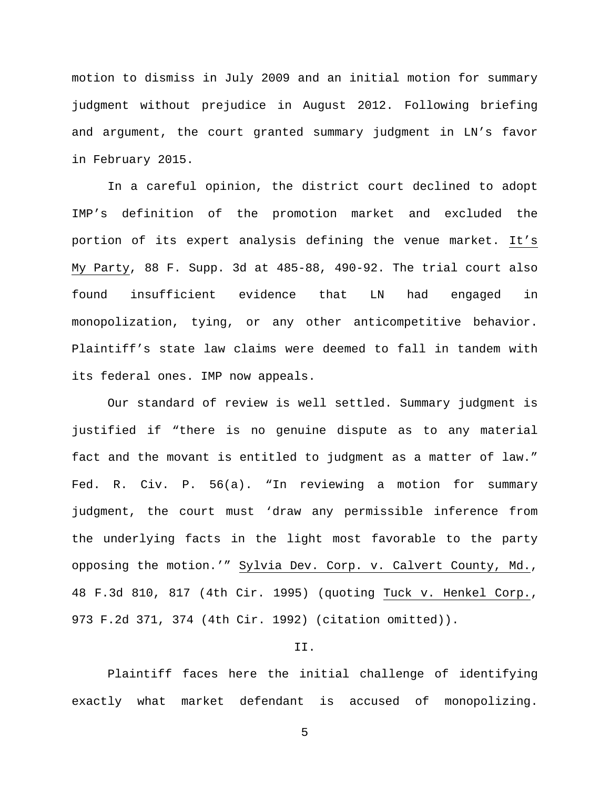motion to dismiss in July 2009 and an initial motion for summary judgment without prejudice in August 2012. Following briefing and argument, the court granted summary judgment in LN's favor in February 2015.

In a careful opinion, the district court declined to adopt IMP's definition of the promotion market and excluded the portion of its expert analysis defining the venue market. It's My Party, 88 F. Supp. 3d at 485-88, 490-92. The trial court also found insufficient evidence that LN had engaged in monopolization, tying, or any other anticompetitive behavior. Plaintiff's state law claims were deemed to fall in tandem with its federal ones. IMP now appeals.

Our standard of review is well settled. Summary judgment is justified if "there is no genuine dispute as to any material fact and the movant is entitled to judgment as a matter of law." Fed. R. Civ. P. 56(a). "In reviewing a motion for summary judgment, the court must 'draw any permissible inference from the underlying facts in the light most favorable to the party opposing the motion.'" Sylvia Dev. Corp. v. Calvert County, Md., 48 F.3d 810, 817 (4th Cir. 1995) (quoting Tuck v. Henkel Corp., 973 F.2d 371, 374 (4th Cir. 1992) (citation omitted)).

# II.

Plaintiff faces here the initial challenge of identifying exactly what market defendant is accused of monopolizing.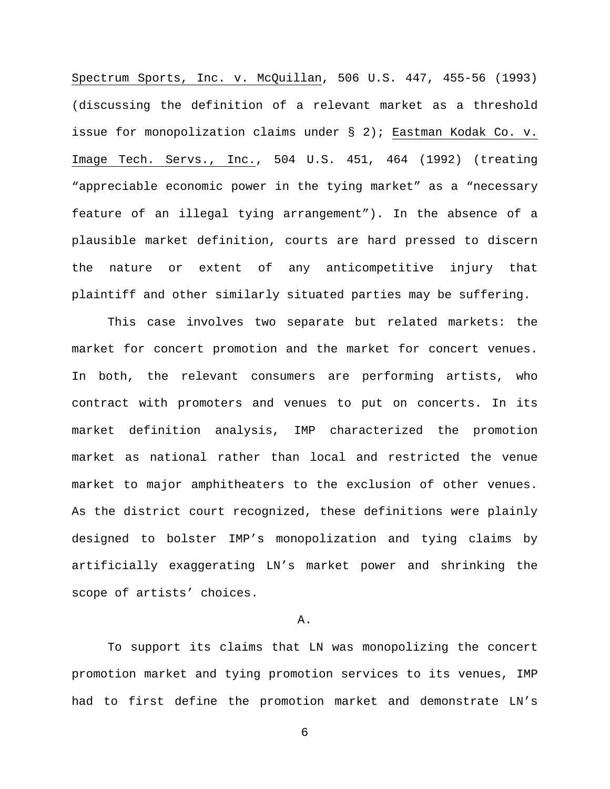Spectrum Sports, Inc. v. McQuillan, 506 U.S. 447, 455-56 (1993) (discussing the definition of a relevant market as a threshold issue for monopolization claims under § 2); Eastman Kodak Co. v. Image Tech. Servs., Inc., 504 U.S. 451, 464 (1992) (treating "appreciable economic power in the tying market" as a "necessary feature of an illegal tying arrangement"). In the absence of a plausible market definition, courts are hard pressed to discern the nature or extent of any anticompetitive injury that plaintiff and other similarly situated parties may be suffering.

This case involves two separate but related markets: the market for concert promotion and the market for concert venues. In both, the relevant consumers are performing artists, who contract with promoters and venues to put on concerts. In its market definition analysis, IMP characterized the promotion market as national rather than local and restricted the venue market to major amphitheaters to the exclusion of other venues. As the district court recognized, these definitions were plainly designed to bolster IMP's monopolization and tying claims by artificially exaggerating LN's market power and shrinking the scope of artists' choices.

#### A.

To support its claims that LN was monopolizing the concert promotion market and tying promotion services to its venues, IMP had to first define the promotion market and demonstrate LN's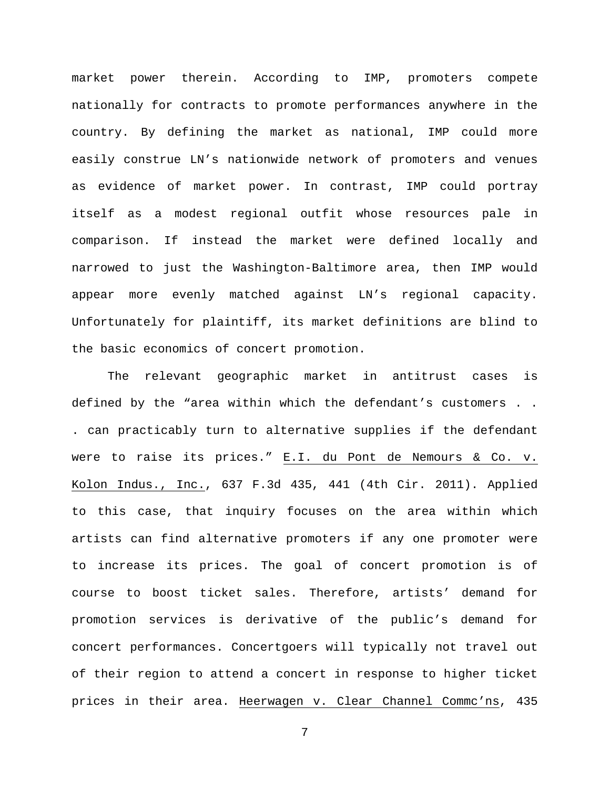market power therein. According to IMP, promoters compete nationally for contracts to promote performances anywhere in the country. By defining the market as national, IMP could more easily construe LN's nationwide network of promoters and venues as evidence of market power. In contrast, IMP could portray itself as a modest regional outfit whose resources pale in comparison. If instead the market were defined locally and narrowed to just the Washington-Baltimore area, then IMP would appear more evenly matched against LN's regional capacity. Unfortunately for plaintiff, its market definitions are blind to the basic economics of concert promotion.

The relevant geographic market in antitrust cases is defined by the "area within which the defendant's customers . . . can practicably turn to alternative supplies if the defendant were to raise its prices." E.I. du Pont de Nemours & Co. v. Kolon Indus., Inc., 637 F.3d 435, 441 (4th Cir. 2011). Applied to this case, that inquiry focuses on the area within which artists can find alternative promoters if any one promoter were to increase its prices. The goal of concert promotion is of course to boost ticket sales. Therefore, artists' demand for promotion services is derivative of the public's demand for concert performances. Concertgoers will typically not travel out of their region to attend a concert in response to higher ticket prices in their area. Heerwagen v. Clear Channel Commc'ns, 435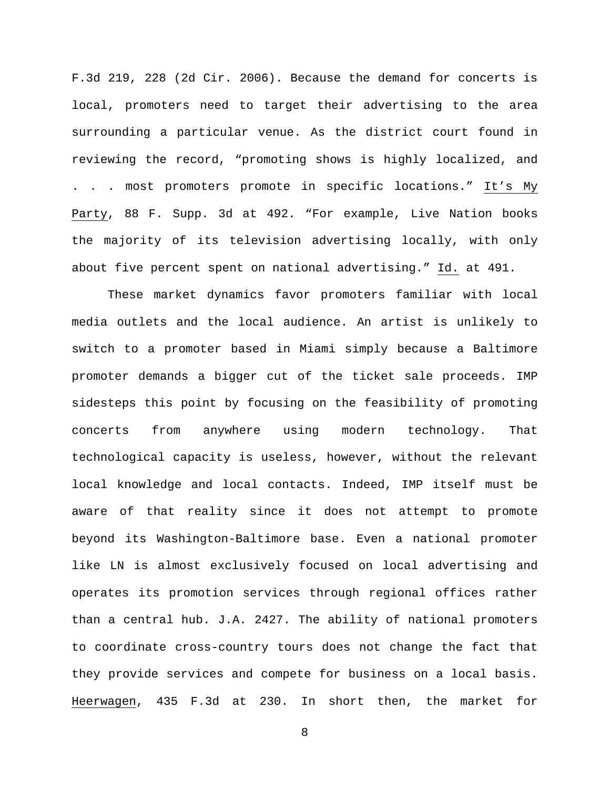F.3d 219, 228 (2d Cir. 2006). Because the demand for concerts is local, promoters need to target their advertising to the area surrounding a particular venue. As the district court found in reviewing the record, "promoting shows is highly localized, and . . . most promoters promote in specific locations." It's My Party, 88 F. Supp. 3d at 492. "For example, Live Nation books the majority of its television advertising locally, with only about five percent spent on national advertising." Id. at 491.

These market dynamics favor promoters familiar with local media outlets and the local audience. An artist is unlikely to switch to a promoter based in Miami simply because a Baltimore promoter demands a bigger cut of the ticket sale proceeds. IMP sidesteps this point by focusing on the feasibility of promoting concerts from anywhere using modern technology. That technological capacity is useless, however, without the relevant local knowledge and local contacts. Indeed, IMP itself must be aware of that reality since it does not attempt to promote beyond its Washington-Baltimore base. Even a national promoter like LN is almost exclusively focused on local advertising and operates its promotion services through regional offices rather than a central hub. J.A. 2427. The ability of national promoters to coordinate cross-country tours does not change the fact that they provide services and compete for business on a local basis. Heerwagen, 435 F.3d at 230. In short then, the market for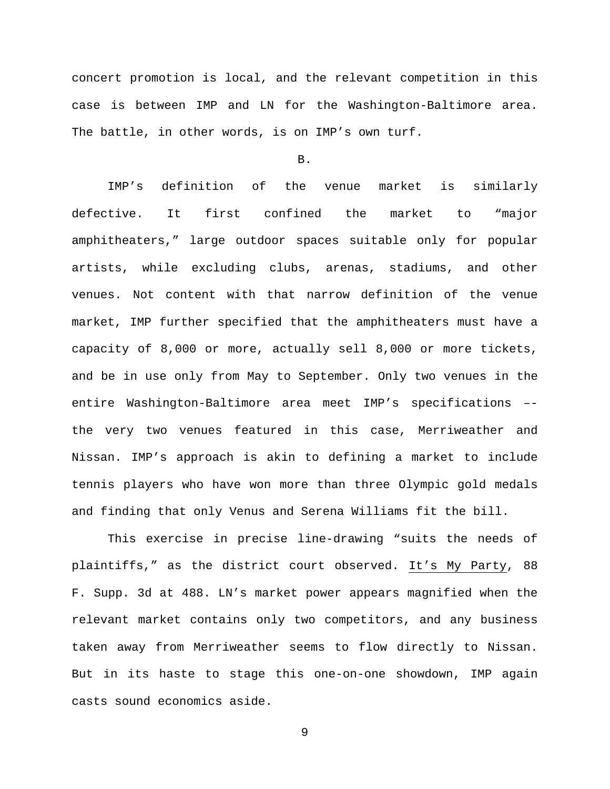concert promotion is local, and the relevant competition in this case is between IMP and LN for the Washington-Baltimore area. The battle, in other words, is on IMP's own turf.

B.

IMP's definition of the venue market is similarly defective. It first confined the market to "major amphitheaters," large outdoor spaces suitable only for popular artists, while excluding clubs, arenas, stadiums, and other venues. Not content with that narrow definition of the venue market, IMP further specified that the amphitheaters must have a capacity of 8,000 or more, actually sell 8,000 or more tickets, and be in use only from May to September. Only two venues in the entire Washington-Baltimore area meet IMP's specifications – the very two venues featured in this case, Merriweather and Nissan. IMP's approach is akin to defining a market to include tennis players who have won more than three Olympic gold medals and finding that only Venus and Serena Williams fit the bill.

This exercise in precise line-drawing "suits the needs of plaintiffs," as the district court observed. It's My Party, 88 F. Supp. 3d at 488. LN's market power appears magnified when the relevant market contains only two competitors, and any business taken away from Merriweather seems to flow directly to Nissan. But in its haste to stage this one-on-one showdown, IMP again casts sound economics aside.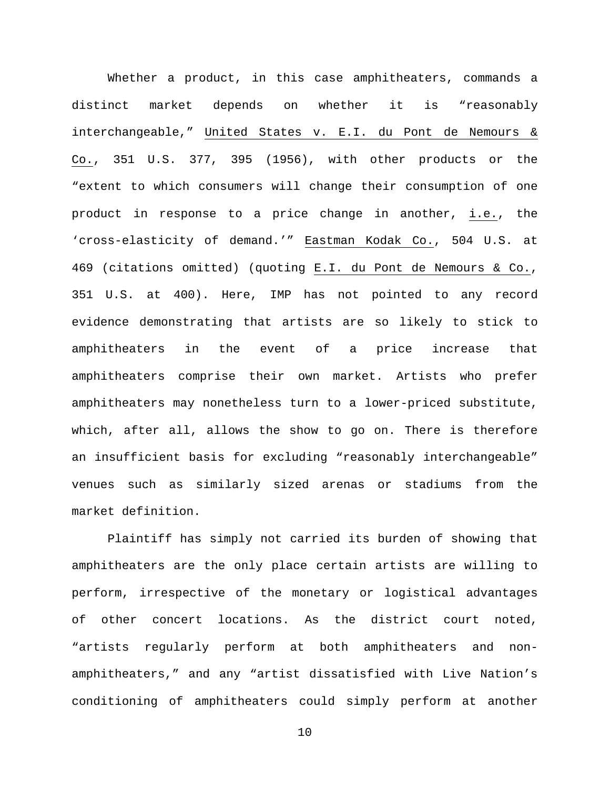Whether a product, in this case amphitheaters, commands a distinct market depends on whether it is "reasonably interchangeable," United States v. E.I. du Pont de Nemours & Co., 351 U.S. 377, 395 (1956), with other products or the "extent to which consumers will change their consumption of one product in response to a price change in another, i.e., the 'cross-elasticity of demand.'" Eastman Kodak Co., 504 U.S. at 469 (citations omitted) (quoting E.I. du Pont de Nemours & Co., 351 U.S. at 400). Here, IMP has not pointed to any record evidence demonstrating that artists are so likely to stick to amphitheaters in the event of a price increase that amphitheaters comprise their own market. Artists who prefer amphitheaters may nonetheless turn to a lower-priced substitute, which, after all, allows the show to go on. There is therefore an insufficient basis for excluding "reasonably interchangeable" venues such as similarly sized arenas or stadiums from the market definition.

Plaintiff has simply not carried its burden of showing that amphitheaters are the only place certain artists are willing to perform, irrespective of the monetary or logistical advantages of other concert locations. As the district court noted, "artists regularly perform at both amphitheaters and nonamphitheaters," and any "artist dissatisfied with Live Nation's conditioning of amphitheaters could simply perform at another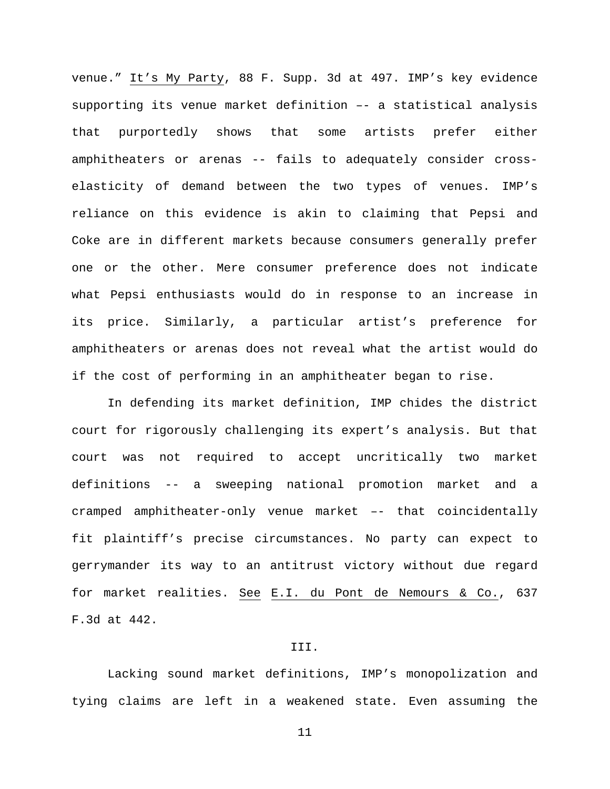venue." It's My Party, 88 F. Supp. 3d at 497. IMP's key evidence supporting its venue market definition –- a statistical analysis that purportedly shows that some artists prefer either amphitheaters or arenas -- fails to adequately consider crosselasticity of demand between the two types of venues. IMP's reliance on this evidence is akin to claiming that Pepsi and Coke are in different markets because consumers generally prefer one or the other. Mere consumer preference does not indicate what Pepsi enthusiasts would do in response to an increase in its price. Similarly, a particular artist's preference for amphitheaters or arenas does not reveal what the artist would do if the cost of performing in an amphitheater began to rise.

In defending its market definition, IMP chides the district court for rigorously challenging its expert's analysis. But that court was not required to accept uncritically two market definitions -- a sweeping national promotion market and a cramped amphitheater-only venue market –- that coincidentally fit plaintiff's precise circumstances. No party can expect to gerrymander its way to an antitrust victory without due regard for market realities. See E.I. du Pont de Nemours & Co., 637 F.3d at 442.

## III.

Lacking sound market definitions, IMP's monopolization and tying claims are left in a weakened state. Even assuming the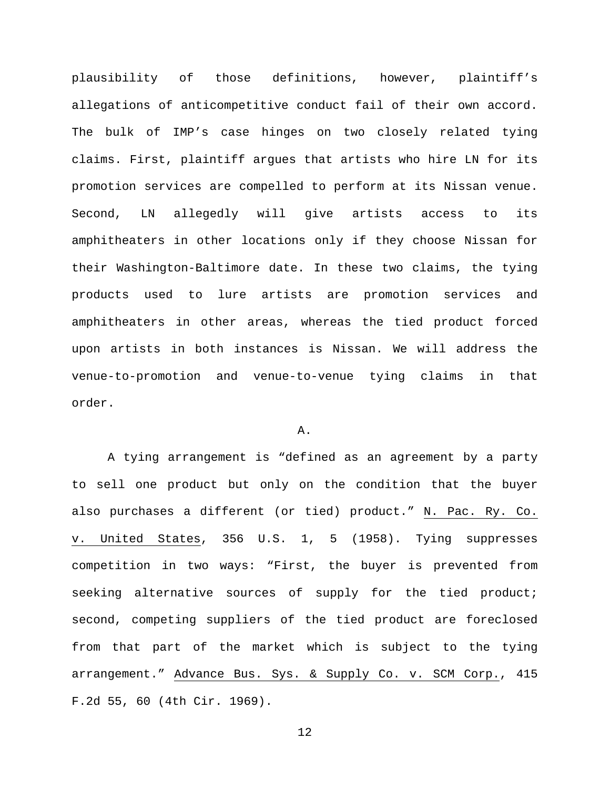plausibility of those definitions, however, plaintiff's allegations of anticompetitive conduct fail of their own accord. The bulk of IMP's case hinges on two closely related tying claims. First, plaintiff argues that artists who hire LN for its promotion services are compelled to perform at its Nissan venue. Second, LN allegedly will give artists access to its amphitheaters in other locations only if they choose Nissan for their Washington-Baltimore date. In these two claims, the tying products used to lure artists are promotion services and amphitheaters in other areas, whereas the tied product forced upon artists in both instances is Nissan. We will address the venue-to-promotion and venue-to-venue tying claims in that order.

### A.

A tying arrangement is "defined as an agreement by a party to sell one product but only on the condition that the buyer also purchases a different (or tied) product." N. Pac. Ry. Co. v. United States, 356 U.S. 1, 5 (1958). Tying suppresses competition in two ways: "First, the buyer is prevented from seeking alternative sources of supply for the tied product; second, competing suppliers of the tied product are foreclosed from that part of the market which is subject to the tying arrangement." Advance Bus. Sys. & Supply Co. v. SCM Corp., 415 F.2d 55, 60 (4th Cir. 1969).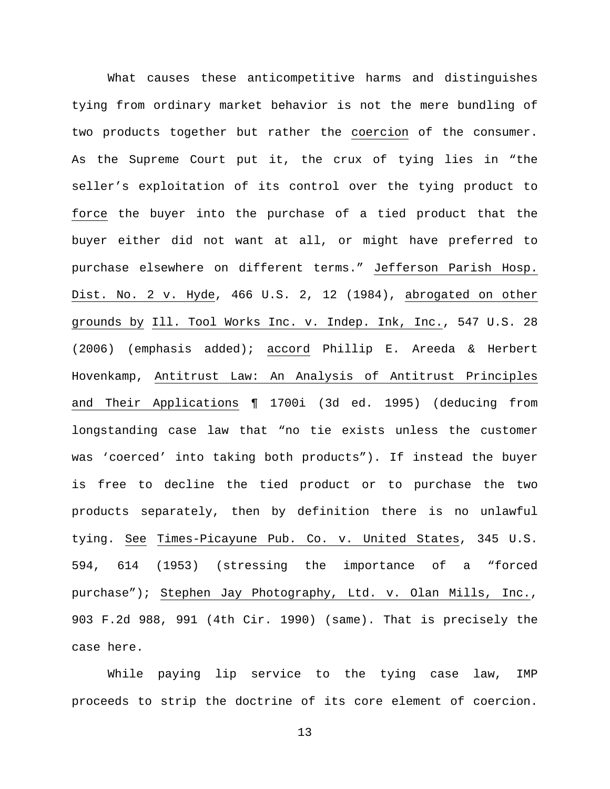What causes these anticompetitive harms and distinguishes tying from ordinary market behavior is not the mere bundling of two products together but rather the coercion of the consumer. As the Supreme Court put it, the crux of tying lies in "the seller's exploitation of its control over the tying product to force the buyer into the purchase of a tied product that the buyer either did not want at all, or might have preferred to purchase elsewhere on different terms." Jefferson Parish Hosp. Dist. No. 2 v. Hyde, 466 U.S. 2, 12 (1984), abrogated on other grounds by Ill. Tool Works Inc. v. Indep. Ink, Inc., 547 U.S. 28 (2006) (emphasis added); accord Phillip E. Areeda & Herbert Hovenkamp, Antitrust Law: An Analysis of Antitrust Principles and Their Applications ¶ 1700i (3d ed. 1995) (deducing from longstanding case law that "no tie exists unless the customer was 'coerced' into taking both products"). If instead the buyer is free to decline the tied product or to purchase the two products separately, then by definition there is no unlawful tying. See Times-Picayune Pub. Co. v. United States, 345 U.S. 594, 614 (1953) (stressing the importance of a "forced purchase"); Stephen Jay Photography, Ltd. v. Olan Mills, Inc., 903 F.2d 988, 991 (4th Cir. 1990) (same). That is precisely the case here.

While paying lip service to the tying case law, IMP proceeds to strip the doctrine of its core element of coercion.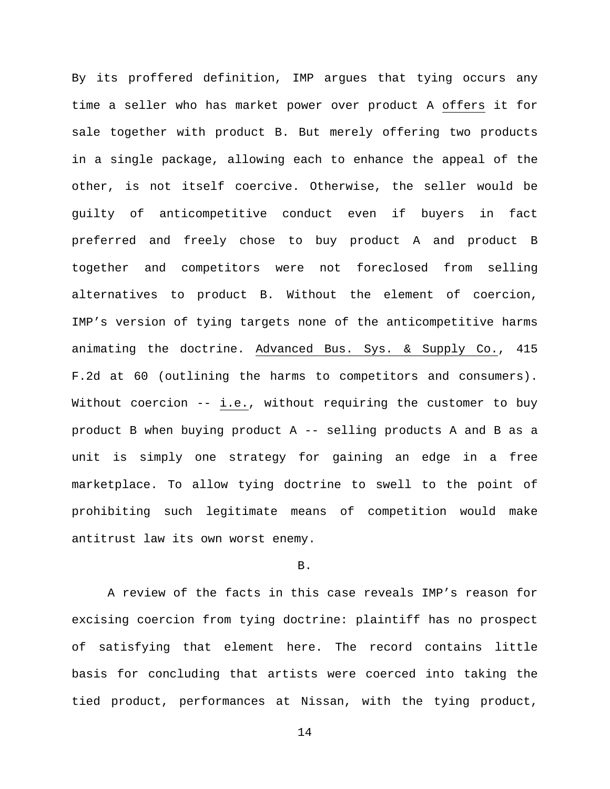By its proffered definition, IMP argues that tying occurs any time a seller who has market power over product A offers it for sale together with product B. But merely offering two products in a single package, allowing each to enhance the appeal of the other, is not itself coercive. Otherwise, the seller would be guilty of anticompetitive conduct even if buyers in fact preferred and freely chose to buy product A and product B together and competitors were not foreclosed from selling alternatives to product B. Without the element of coercion, IMP's version of tying targets none of the anticompetitive harms animating the doctrine. Advanced Bus. Sys. & Supply Co., 415 F.2d at 60 (outlining the harms to competitors and consumers). Without coercion -- i.e., without requiring the customer to buy product B when buying product A -- selling products A and B as a unit is simply one strategy for gaining an edge in a free marketplace. To allow tying doctrine to swell to the point of prohibiting such legitimate means of competition would make antitrust law its own worst enemy.

### B.

A review of the facts in this case reveals IMP's reason for excising coercion from tying doctrine: plaintiff has no prospect of satisfying that element here. The record contains little basis for concluding that artists were coerced into taking the tied product, performances at Nissan, with the tying product,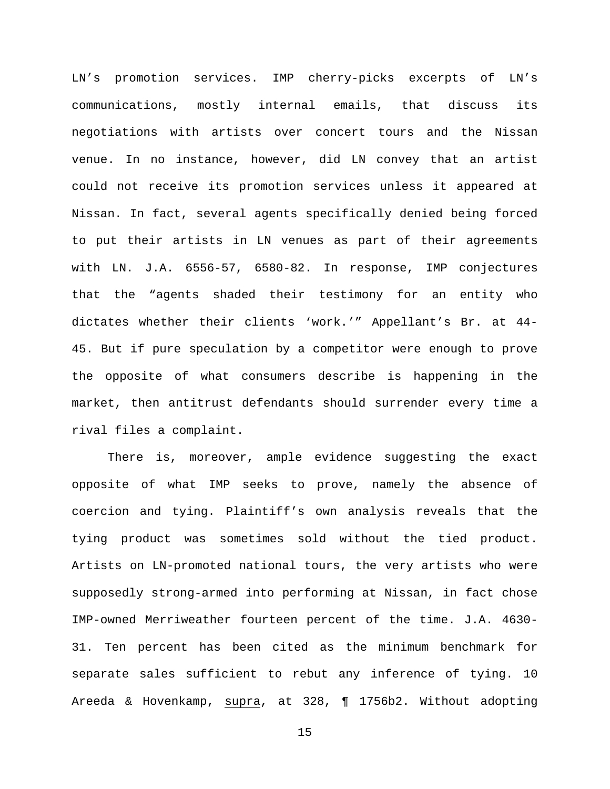LN's promotion services. IMP cherry-picks excerpts of LN's communications, mostly internal emails, that discuss its negotiations with artists over concert tours and the Nissan venue. In no instance, however, did LN convey that an artist could not receive its promotion services unless it appeared at Nissan. In fact, several agents specifically denied being forced to put their artists in LN venues as part of their agreements with LN. J.A. 6556-57, 6580-82. In response, IMP conjectures that the "agents shaded their testimony for an entity who dictates whether their clients 'work.'" Appellant's Br. at 44- 45. But if pure speculation by a competitor were enough to prove the opposite of what consumers describe is happening in the market, then antitrust defendants should surrender every time a rival files a complaint.

There is, moreover, ample evidence suggesting the exact opposite of what IMP seeks to prove, namely the absence of coercion and tying. Plaintiff's own analysis reveals that the tying product was sometimes sold without the tied product. Artists on LN-promoted national tours, the very artists who were supposedly strong-armed into performing at Nissan, in fact chose IMP-owned Merriweather fourteen percent of the time. J.A. 4630- 31. Ten percent has been cited as the minimum benchmark for separate sales sufficient to rebut any inference of tying. 10 Areeda & Hovenkamp, supra, at 328, ¶ 1756b2. Without adopting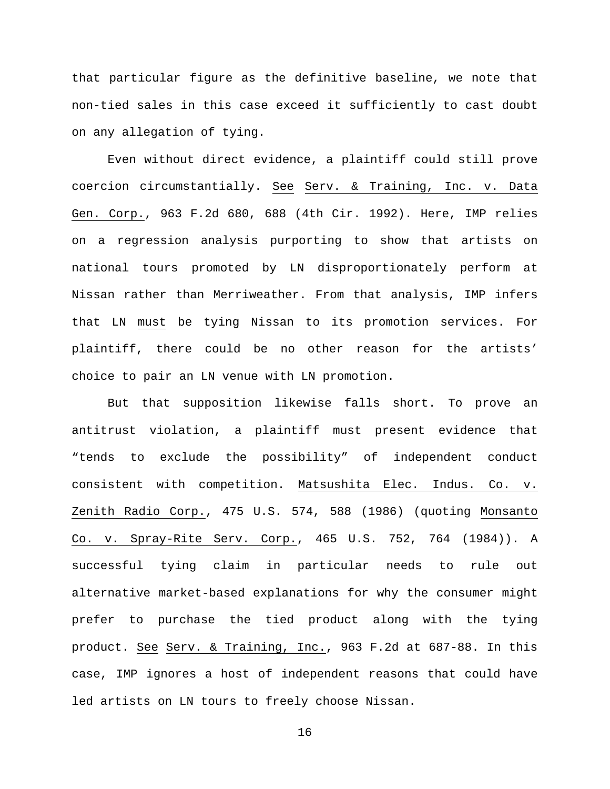that particular figure as the definitive baseline, we note that non-tied sales in this case exceed it sufficiently to cast doubt on any allegation of tying.

Even without direct evidence, a plaintiff could still prove coercion circumstantially. See Serv. & Training, Inc. v. Data Gen. Corp., 963 F.2d 680, 688 (4th Cir. 1992). Here, IMP relies on a regression analysis purporting to show that artists on national tours promoted by LN disproportionately perform at Nissan rather than Merriweather. From that analysis, IMP infers that LN must be tying Nissan to its promotion services. For plaintiff, there could be no other reason for the artists' choice to pair an LN venue with LN promotion.

But that supposition likewise falls short. To prove an antitrust violation, a plaintiff must present evidence that "tends to exclude the possibility" of independent conduct consistent with competition. Matsushita Elec. Indus. Co. v. Zenith Radio Corp., 475 U.S. 574, 588 (1986) (quoting Monsanto Co. v. Spray-Rite Serv. Corp., 465 U.S. 752, 764 (1984)). A successful tying claim in particular needs to rule out alternative market-based explanations for why the consumer might prefer to purchase the tied product along with the tying product. See Serv. & Training, Inc., 963 F.2d at 687-88. In this case, IMP ignores a host of independent reasons that could have led artists on LN tours to freely choose Nissan.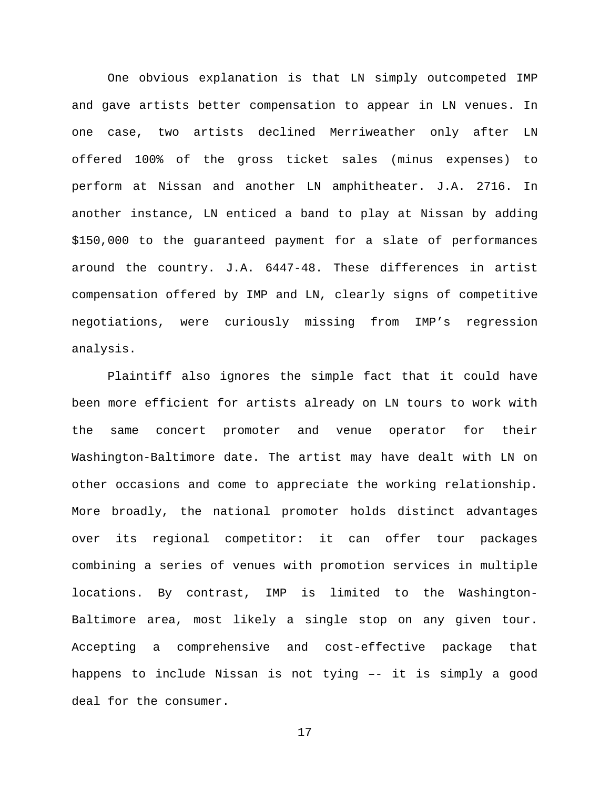One obvious explanation is that LN simply outcompeted IMP and gave artists better compensation to appear in LN venues. In one case, two artists declined Merriweather only after LN offered 100% of the gross ticket sales (minus expenses) to perform at Nissan and another LN amphitheater. J.A. 2716. In another instance, LN enticed a band to play at Nissan by adding \$150,000 to the guaranteed payment for a slate of performances around the country. J.A. 6447-48. These differences in artist compensation offered by IMP and LN, clearly signs of competitive negotiations, were curiously missing from IMP's regression analysis.

Plaintiff also ignores the simple fact that it could have been more efficient for artists already on LN tours to work with the same concert promoter and venue operator for their Washington-Baltimore date. The artist may have dealt with LN on other occasions and come to appreciate the working relationship. More broadly, the national promoter holds distinct advantages over its regional competitor: it can offer tour packages combining a series of venues with promotion services in multiple locations. By contrast, IMP is limited to the Washington-Baltimore area, most likely a single stop on any given tour. Accepting a comprehensive and cost-effective package that happens to include Nissan is not tying –- it is simply a good deal for the consumer.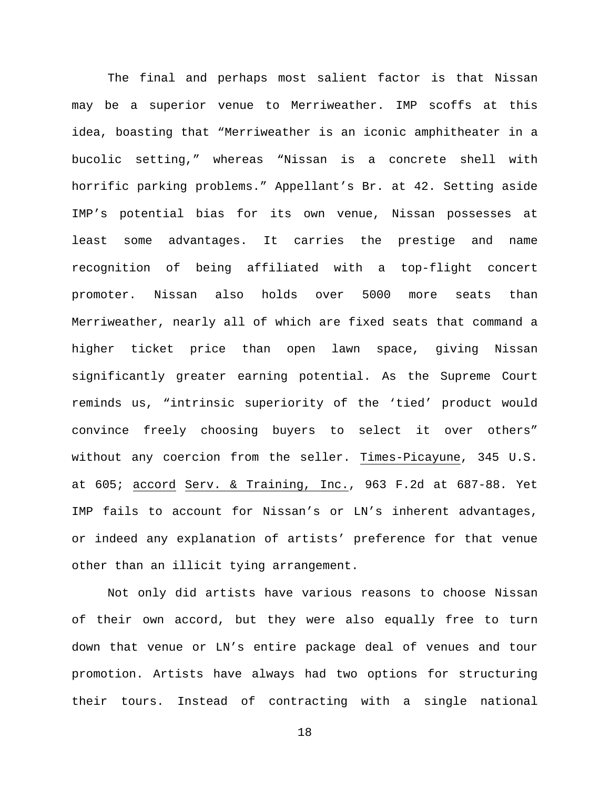The final and perhaps most salient factor is that Nissan may be a superior venue to Merriweather. IMP scoffs at this idea, boasting that "Merriweather is an iconic amphitheater in a bucolic setting," whereas "Nissan is a concrete shell with horrific parking problems." Appellant's Br. at 42. Setting aside IMP's potential bias for its own venue, Nissan possesses at least some advantages. It carries the prestige and name recognition of being affiliated with a top-flight concert promoter. Nissan also holds over 5000 more seats than Merriweather, nearly all of which are fixed seats that command a higher ticket price than open lawn space, giving Nissan significantly greater earning potential. As the Supreme Court reminds us, "intrinsic superiority of the 'tied' product would convince freely choosing buyers to select it over others" without any coercion from the seller. Times-Picayune, 345 U.S. at 605; accord Serv. & Training, Inc., 963 F.2d at 687-88. Yet IMP fails to account for Nissan's or LN's inherent advantages, or indeed any explanation of artists' preference for that venue other than an illicit tying arrangement.

Not only did artists have various reasons to choose Nissan of their own accord, but they were also equally free to turn down that venue or LN's entire package deal of venues and tour promotion. Artists have always had two options for structuring their tours. Instead of contracting with a single national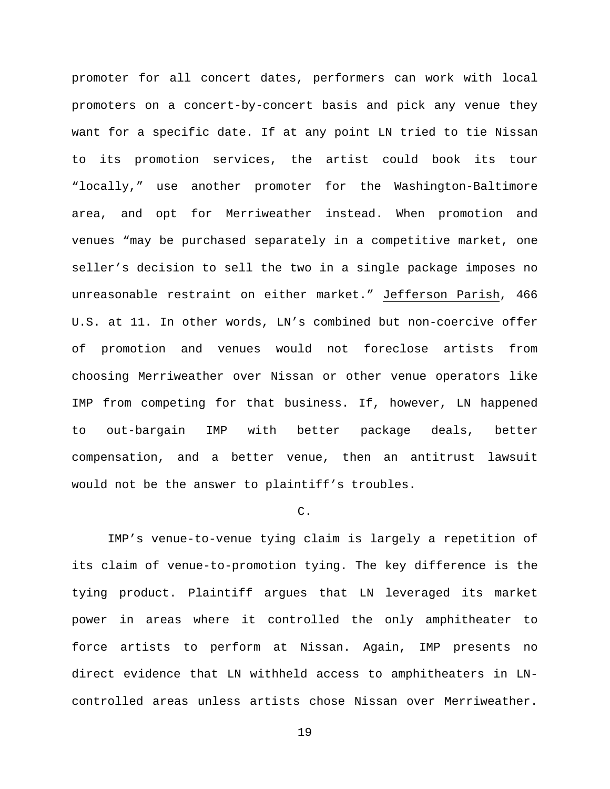promoter for all concert dates, performers can work with local promoters on a concert-by-concert basis and pick any venue they want for a specific date. If at any point LN tried to tie Nissan to its promotion services, the artist could book its tour "locally," use another promoter for the Washington-Baltimore area, and opt for Merriweather instead. When promotion and venues "may be purchased separately in a competitive market, one seller's decision to sell the two in a single package imposes no unreasonable restraint on either market." Jefferson Parish, 466 U.S. at 11. In other words, LN's combined but non-coercive offer of promotion and venues would not foreclose artists from choosing Merriweather over Nissan or other venue operators like IMP from competing for that business. If, however, LN happened to out-bargain IMP with better package deals, better compensation, and a better venue, then an antitrust lawsuit would not be the answer to plaintiff's troubles.

# C.

IMP's venue-to-venue tying claim is largely a repetition of its claim of venue-to-promotion tying. The key difference is the tying product. Plaintiff argues that LN leveraged its market power in areas where it controlled the only amphitheater to force artists to perform at Nissan. Again, IMP presents no direct evidence that LN withheld access to amphitheaters in LNcontrolled areas unless artists chose Nissan over Merriweather.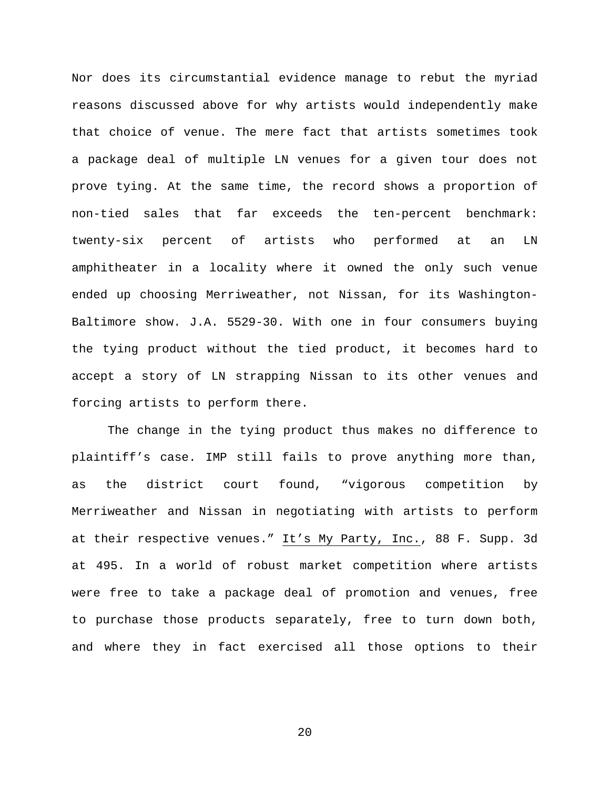Nor does its circumstantial evidence manage to rebut the myriad reasons discussed above for why artists would independently make that choice of venue. The mere fact that artists sometimes took a package deal of multiple LN venues for a given tour does not prove tying. At the same time, the record shows a proportion of non-tied sales that far exceeds the ten-percent benchmark: twenty-six percent of artists who performed at an LN amphitheater in a locality where it owned the only such venue ended up choosing Merriweather, not Nissan, for its Washington-Baltimore show. J.A. 5529-30. With one in four consumers buying the tying product without the tied product, it becomes hard to accept a story of LN strapping Nissan to its other venues and forcing artists to perform there.

The change in the tying product thus makes no difference to plaintiff's case. IMP still fails to prove anything more than, as the district court found, "vigorous competition by Merriweather and Nissan in negotiating with artists to perform at their respective venues." It's My Party, Inc., 88 F. Supp. 3d at 495. In a world of robust market competition where artists were free to take a package deal of promotion and venues, free to purchase those products separately, free to turn down both, and where they in fact exercised all those options to their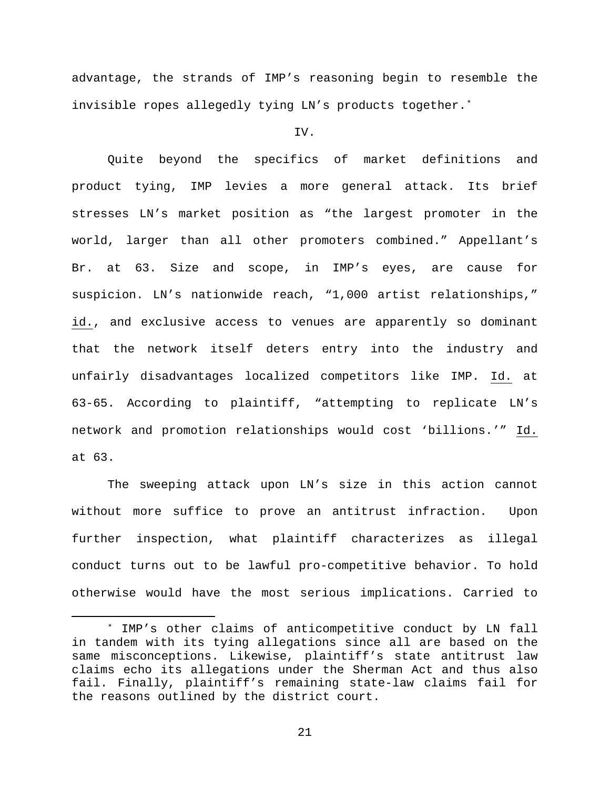advantage, the strands of IMP's reasoning begin to resemble the invisible ropes allegedly tying LN's products together[.\\*](#page-20-0)

## IV.

Quite beyond the specifics of market definitions and product tying, IMP levies a more general attack. Its brief stresses LN's market position as "the largest promoter in the world, larger than all other promoters combined." Appellant's Br. at 63. Size and scope, in IMP's eyes, are cause for suspicion. LN's nationwide reach, "1,000 artist relationships," id., and exclusive access to venues are apparently so dominant that the network itself deters entry into the industry and unfairly disadvantages localized competitors like IMP. Id. at 63-65. According to plaintiff, "attempting to replicate LN's network and promotion relationships would cost 'billions.'" Id. at 63.

The sweeping attack upon LN's size in this action cannot without more suffice to prove an antitrust infraction. Upon further inspection, what plaintiff characterizes as illegal conduct turns out to be lawful pro-competitive behavior. To hold otherwise would have the most serious implications. Carried to

<span id="page-20-0"></span> <sup>\*</sup> IMP's other claims of anticompetitive conduct by LN fall in tandem with its tying allegations since all are based on the same misconceptions. Likewise, plaintiff's state antitrust law claims echo its allegations under the Sherman Act and thus also fail. Finally, plaintiff's remaining state-law claims fail for the reasons outlined by the district court.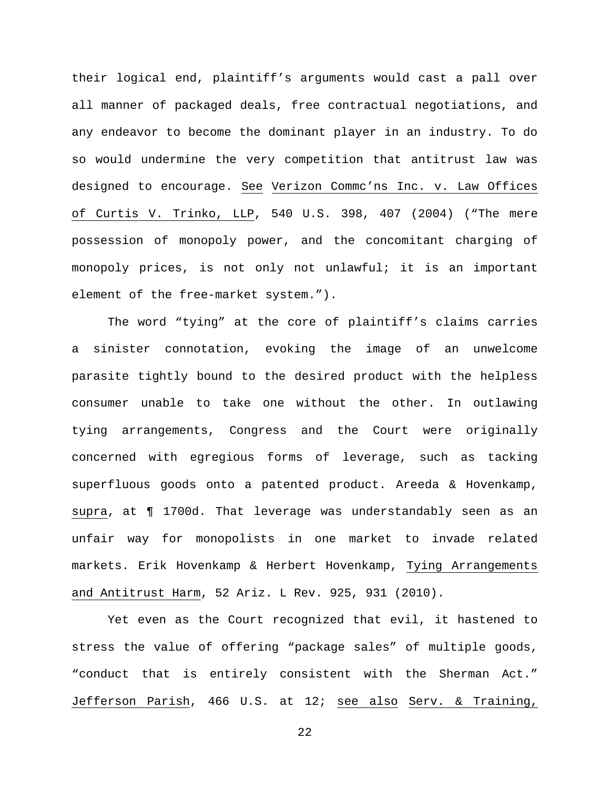their logical end, plaintiff's arguments would cast a pall over all manner of packaged deals, free contractual negotiations, and any endeavor to become the dominant player in an industry. To do so would undermine the very competition that antitrust law was designed to encourage. See Verizon Commc'ns Inc. v. Law Offices of Curtis V. Trinko, LLP, 540 U.S. 398, 407 (2004) ("The mere possession of monopoly power, and the concomitant charging of monopoly prices, is not only not unlawful; it is an important element of the free-market system.").

The word "tying" at the core of plaintiff's claims carries a sinister connotation, evoking the image of an unwelcome parasite tightly bound to the desired product with the helpless consumer unable to take one without the other. In outlawing tying arrangements, Congress and the Court were originally concerned with egregious forms of leverage, such as tacking superfluous goods onto a patented product. Areeda & Hovenkamp, supra, at ¶ 1700d. That leverage was understandably seen as an unfair way for monopolists in one market to invade related markets. Erik Hovenkamp & Herbert Hovenkamp, Tying Arrangements and Antitrust Harm, 52 Ariz. L Rev. 925, 931 (2010).

Yet even as the Court recognized that evil, it hastened to stress the value of offering "package sales" of multiple goods, "conduct that is entirely consistent with the Sherman Act." Jefferson Parish, 466 U.S. at 12; see also Serv. & Training,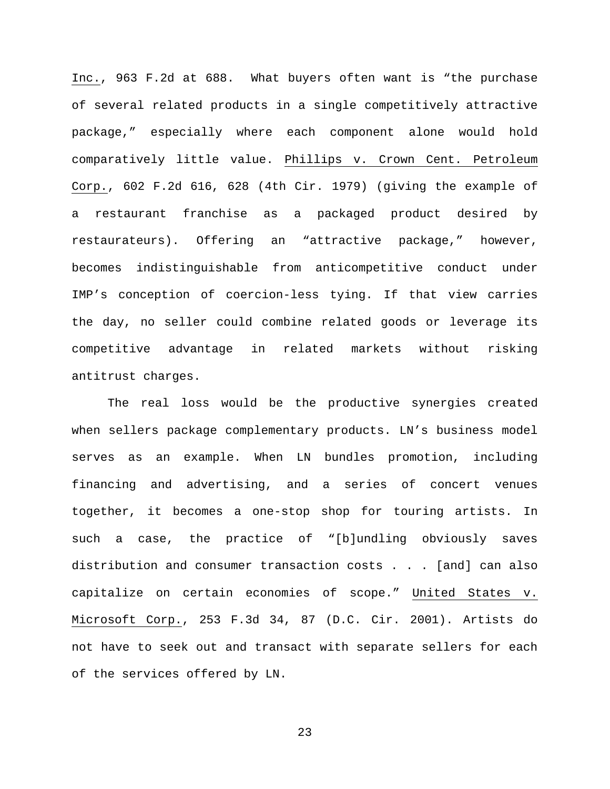Inc., 963 F.2d at 688. What buyers often want is "the purchase of several related products in a single competitively attractive package," especially where each component alone would hold comparatively little value. Phillips v. Crown Cent. Petroleum Corp., 602 F.2d 616, 628 (4th Cir. 1979) (giving the example of a restaurant franchise as a packaged product desired by restaurateurs). Offering an "attractive package," however, becomes indistinguishable from anticompetitive conduct under IMP's conception of coercion-less tying. If that view carries the day, no seller could combine related goods or leverage its competitive advantage in related markets without risking antitrust charges.

The real loss would be the productive synergies created when sellers package complementary products. LN's business model serves as an example. When LN bundles promotion, including financing and advertising, and a series of concert venues together, it becomes a one-stop shop for touring artists. In such a case, the practice of "[b]undling obviously saves distribution and consumer transaction costs . . . [and] can also capitalize on certain economies of scope." United States v. Microsoft Corp., 253 F.3d 34, 87 (D.C. Cir. 2001). Artists do not have to seek out and transact with separate sellers for each of the services offered by LN.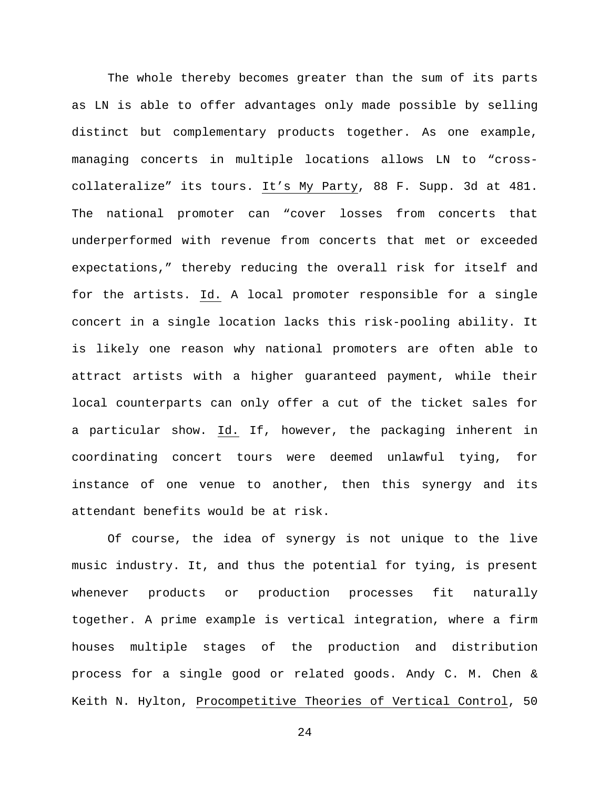The whole thereby becomes greater than the sum of its parts as LN is able to offer advantages only made possible by selling distinct but complementary products together. As one example, managing concerts in multiple locations allows LN to "crosscollateralize" its tours. It's My Party, 88 F. Supp. 3d at 481. The national promoter can "cover losses from concerts that underperformed with revenue from concerts that met or exceeded expectations," thereby reducing the overall risk for itself and for the artists. Id. A local promoter responsible for a single concert in a single location lacks this risk-pooling ability. It is likely one reason why national promoters are often able to attract artists with a higher guaranteed payment, while their local counterparts can only offer a cut of the ticket sales for a particular show. Id. If, however, the packaging inherent in coordinating concert tours were deemed unlawful tying, for instance of one venue to another, then this synergy and its attendant benefits would be at risk.

Of course, the idea of synergy is not unique to the live music industry. It, and thus the potential for tying, is present whenever products or production processes fit naturally together. A prime example is vertical integration, where a firm houses multiple stages of the production and distribution process for a single good or related goods. Andy C. M. Chen & Keith N. Hylton, Procompetitive Theories of Vertical Control, 50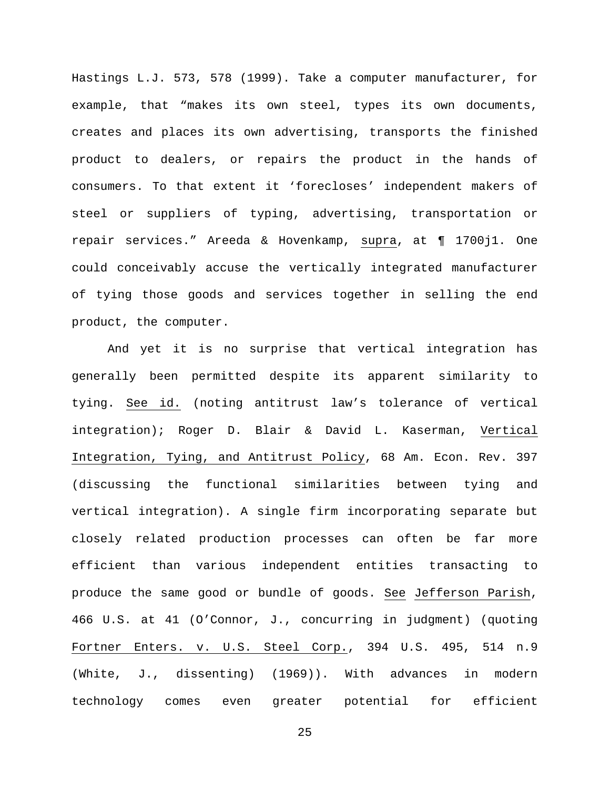Hastings L.J. 573, 578 (1999). Take a computer manufacturer, for example, that "makes its own steel, types its own documents, creates and places its own advertising, transports the finished product to dealers, or repairs the product in the hands of consumers. To that extent it 'forecloses' independent makers of steel or suppliers of typing, advertising, transportation or repair services." Areeda & Hovenkamp, supra, at ¶ 1700j1. One could conceivably accuse the vertically integrated manufacturer of tying those goods and services together in selling the end product, the computer.

And yet it is no surprise that vertical integration has generally been permitted despite its apparent similarity to tying. See id. (noting antitrust law's tolerance of vertical integration); Roger D. Blair & David L. Kaserman, Vertical Integration, Tying, and Antitrust Policy, 68 Am. Econ. Rev. 397 (discussing the functional similarities between tying and vertical integration). A single firm incorporating separate but closely related production processes can often be far more efficient than various independent entities transacting to produce the same good or bundle of goods. See Jefferson Parish, 466 U.S. at 41 (O'Connor, J., concurring in judgment) (quoting Fortner Enters. v. U.S. Steel Corp., 394 U.S. 495, 514 n.9 (White, J., dissenting) (1969)). With advances in modern technology comes even greater potential for efficient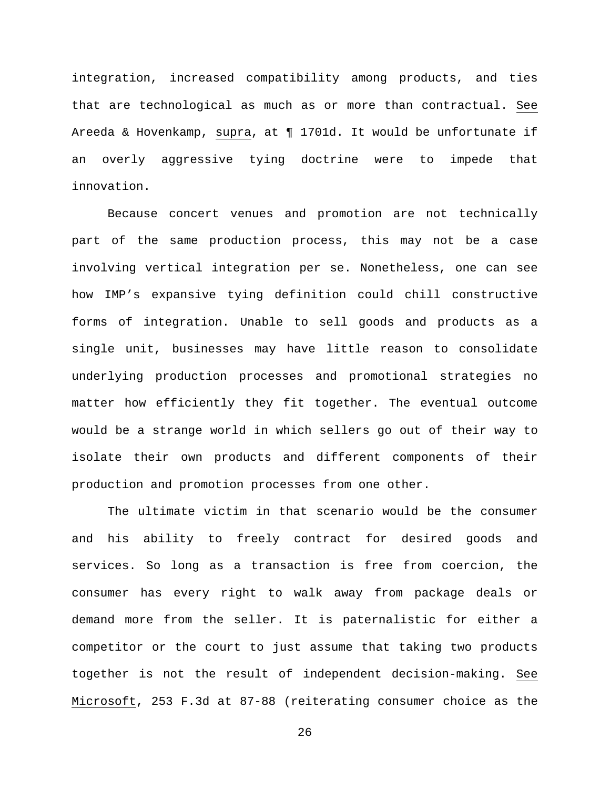integration, increased compatibility among products, and ties that are technological as much as or more than contractual. See Areeda & Hovenkamp, supra, at ¶ 1701d. It would be unfortunate if an overly aggressive tying doctrine were to impede that innovation.

Because concert venues and promotion are not technically part of the same production process, this may not be a case involving vertical integration per se. Nonetheless, one can see how IMP's expansive tying definition could chill constructive forms of integration. Unable to sell goods and products as a single unit, businesses may have little reason to consolidate underlying production processes and promotional strategies no matter how efficiently they fit together. The eventual outcome would be a strange world in which sellers go out of their way to isolate their own products and different components of their production and promotion processes from one other.

The ultimate victim in that scenario would be the consumer and his ability to freely contract for desired goods and services. So long as a transaction is free from coercion, the consumer has every right to walk away from package deals or demand more from the seller. It is paternalistic for either a competitor or the court to just assume that taking two products together is not the result of independent decision-making. See Microsoft, 253 F.3d at 87-88 (reiterating consumer choice as the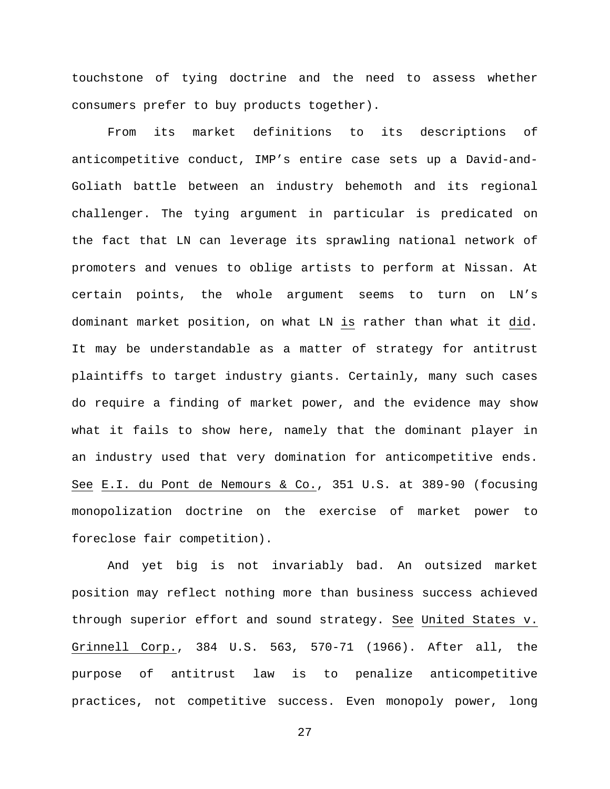touchstone of tying doctrine and the need to assess whether consumers prefer to buy products together).

From its market definitions to its descriptions of anticompetitive conduct, IMP's entire case sets up a David-and-Goliath battle between an industry behemoth and its regional challenger. The tying argument in particular is predicated on the fact that LN can leverage its sprawling national network of promoters and venues to oblige artists to perform at Nissan. At certain points, the whole argument seems to turn on LN's dominant market position, on what LN is rather than what it did. It may be understandable as a matter of strategy for antitrust plaintiffs to target industry giants. Certainly, many such cases do require a finding of market power, and the evidence may show what it fails to show here, namely that the dominant player in an industry used that very domination for anticompetitive ends. See E.I. du Pont de Nemours & Co., 351 U.S. at 389-90 (focusing monopolization doctrine on the exercise of market power to foreclose fair competition).

And yet big is not invariably bad. An outsized market position may reflect nothing more than business success achieved through superior effort and sound strategy. See United States v. Grinnell Corp., 384 U.S. 563, 570-71 (1966). After all, the purpose of antitrust law is to penalize anticompetitive practices, not competitive success. Even monopoly power, long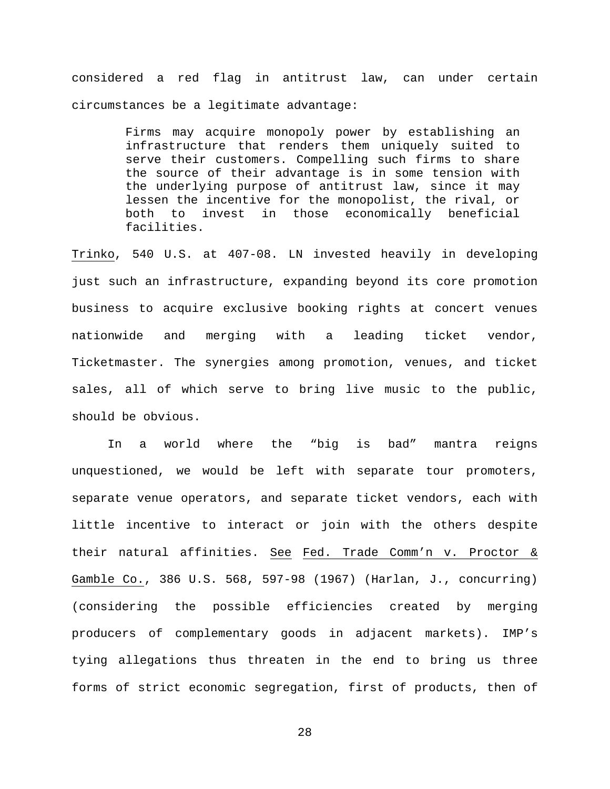considered a red flag in antitrust law, can under certain circumstances be a legitimate advantage:

> Firms may acquire monopoly power by establishing an infrastructure that renders them uniquely suited to serve their customers. Compelling such firms to share the source of their advantage is in some tension with the underlying purpose of antitrust law, since it may lessen the incentive for the monopolist, the rival, or<br>both to invest in those economically beneficial in those economically beneficial facilities.

Trinko, 540 U.S. at 407-08. LN invested heavily in developing just such an infrastructure, expanding beyond its core promotion business to acquire exclusive booking rights at concert venues nationwide and merging with a leading ticket vendor, Ticketmaster. The synergies among promotion, venues, and ticket sales, all of which serve to bring live music to the public, should be obvious.

In a world where the "big is bad" mantra reigns unquestioned, we would be left with separate tour promoters, separate venue operators, and separate ticket vendors, each with little incentive to interact or join with the others despite their natural affinities. See Fed. Trade Comm'n v. Proctor & Gamble Co., 386 U.S. 568, 597-98 (1967) (Harlan, J., concurring) (considering the possible efficiencies created by merging producers of complementary goods in adjacent markets). IMP's tying allegations thus threaten in the end to bring us three forms of strict economic segregation, first of products, then of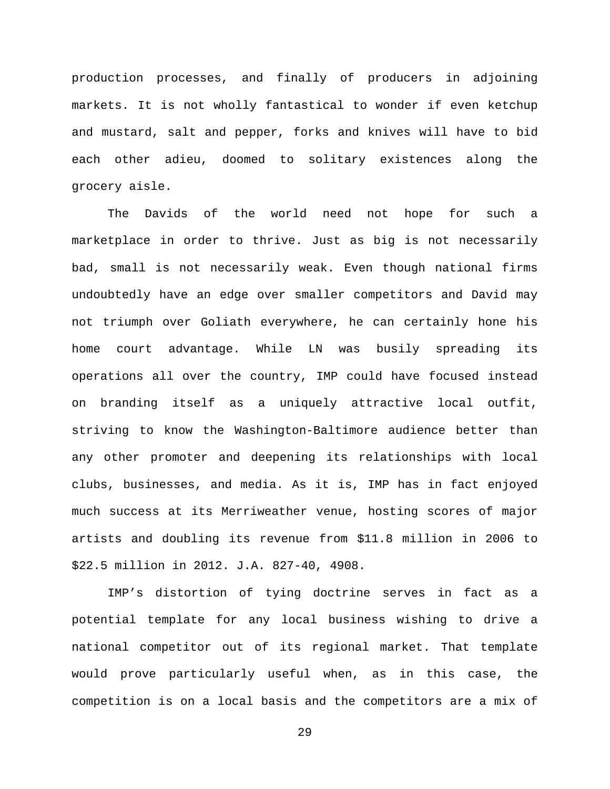production processes, and finally of producers in adjoining markets. It is not wholly fantastical to wonder if even ketchup and mustard, salt and pepper, forks and knives will have to bid each other adieu, doomed to solitary existences along the grocery aisle.

The Davids of the world need not hope for such a marketplace in order to thrive. Just as big is not necessarily bad, small is not necessarily weak. Even though national firms undoubtedly have an edge over smaller competitors and David may not triumph over Goliath everywhere, he can certainly hone his home court advantage. While LN was busily spreading its operations all over the country, IMP could have focused instead on branding itself as a uniquely attractive local outfit, striving to know the Washington-Baltimore audience better than any other promoter and deepening its relationships with local clubs, businesses, and media. As it is, IMP has in fact enjoyed much success at its Merriweather venue, hosting scores of major artists and doubling its revenue from \$11.8 million in 2006 to \$22.5 million in 2012. J.A. 827-40, 4908.

IMP's distortion of tying doctrine serves in fact as a potential template for any local business wishing to drive a national competitor out of its regional market. That template would prove particularly useful when, as in this case, the competition is on a local basis and the competitors are a mix of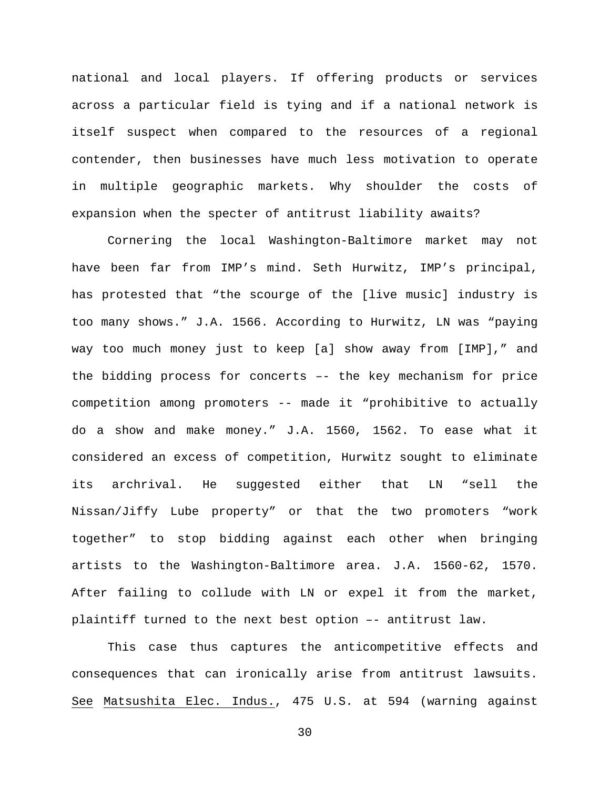national and local players. If offering products or services across a particular field is tying and if a national network is itself suspect when compared to the resources of a regional contender, then businesses have much less motivation to operate in multiple geographic markets. Why shoulder the costs of expansion when the specter of antitrust liability awaits?

Cornering the local Washington-Baltimore market may not have been far from IMP's mind. Seth Hurwitz, IMP's principal, has protested that "the scourge of the [live music] industry is too many shows." J.A. 1566. According to Hurwitz, LN was "paying way too much money just to keep [a] show away from [IMP]," and the bidding process for concerts –- the key mechanism for price competition among promoters -- made it "prohibitive to actually do a show and make money." J.A. 1560, 1562. To ease what it considered an excess of competition, Hurwitz sought to eliminate its archrival. He suggested either that LN "sell the Nissan/Jiffy Lube property" or that the two promoters "work together" to stop bidding against each other when bringing artists to the Washington-Baltimore area. J.A. 1560-62, 1570. After failing to collude with LN or expel it from the market, plaintiff turned to the next best option –- antitrust law.

This case thus captures the anticompetitive effects and consequences that can ironically arise from antitrust lawsuits. See Matsushita Elec. Indus., 475 U.S. at 594 (warning against